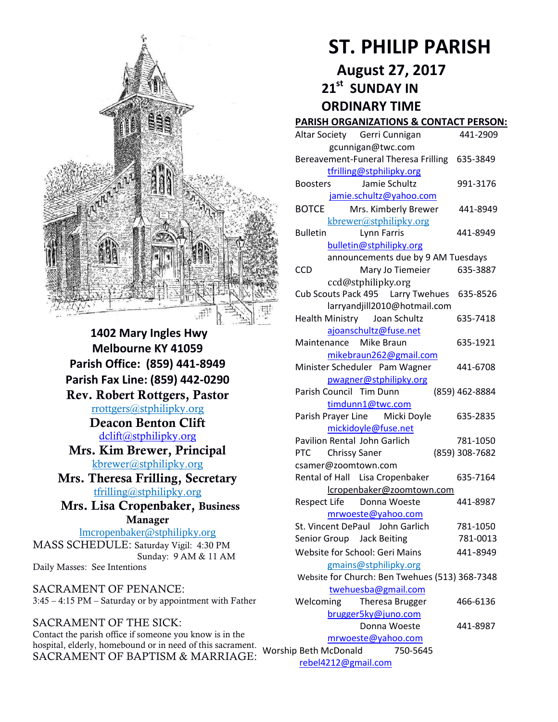

**1402 Mary Ingles Hwy Melbourne KY 41059 Parish Office: (859) 441-8949 Parish Fax Line: (859) 442-0290 Rev. Robert Rottgers, Pastor**  [rrottgers@stphilipky.org](mailto:rrottgers@stphilipky.org) **Deacon Benton Clift**  [dclift@stphilipky.org](mailto:dclift@stphilipky.org) **Mrs. Kim Brewer, Principal**  [kbrewer@stphilipky.org](mailto:kbrewer@stphilipky.org) **Mrs. Theresa Frilling, Secretary**  [tfrilling@stphilipky.org](mailto:tfrilling@stphilipky.org) **Mrs. Lisa Cropenbaker, Business Manager**  lmcropenbaker@stphilipky.org MASS SCHEDULE: Saturday Vigil: 4:30 PM Sunday: 9 AM & 11 AM Daily Masses: See Intentions

SACRAMENT OF PENANCE: 3:45 – 4:15 PM – Saturday or by appointment with Father

SACRAMENT OF THE SICK: Contact the parish office if someone you know is in the hospital, elderly, homebound or in need of this sacrament.<br>SACRAMENT OF RAPTISM & MARRIACE, Worship Beth McDonald 750-5645 SACRAMENT OF BAPTISM & MARRIAGE:

# **ST. PHILIP PARISH**

**August 27, 2017** 

 **21st SUNDAY IN** 

 **ORDINARY TIME** 

## **PARISH ORGANIZATIONS & CONTACT PERSON:**

| Altar Society Gerri Cunnigan                   | 441-2909       |
|------------------------------------------------|----------------|
| gcunnigan@twc.com                              |                |
| Bereavement-Funeral Theresa Frilling 635-3849  |                |
| tfrilling@stphilipky.org                       |                |
| Jamie Schultz<br><b>Boosters</b>               | 991-3176       |
| jamie.schultz@yahoo.com                        |                |
| <b>BOTCE</b><br>Mrs. Kimberly Brewer           | 441-8949       |
| kbrewer@stphilipky.org                         |                |
| <b>Bulletin</b><br><b>Lynn Farris</b>          | 441-8949       |
| bulletin@stphilipky.org                        |                |
| announcements due by 9 AM Tuesdays             |                |
| <b>CCD</b><br>Mary Jo Tiemeier                 | 635-3887       |
| ccd@stphilipky.org                             |                |
| Cub Scouts Pack 495    Larry Twehues           | 635-8526       |
| larryandjill2010@hotmail.com                   |                |
| Health Ministry Joan Schultz                   | 635-7418       |
| ajoanschultz@fuse.net                          |                |
| Maintenance Mike Braun                         | 635-1921       |
| mikebraun262@gmail.com                         |                |
| Minister Scheduler Pam Wagner                  | 441-6708       |
| pwagner@stphilipky.org                         |                |
| Parish Council Tim Dunn                        | (859) 462-8884 |
| timdunn1@twc.com                               |                |
| Parish Prayer Line Micki Doyle                 | 635-2835       |
| mickidoyle@fuse.net                            |                |
| Pavilion Rental John Garlich                   | 781-1050       |
| <b>Chrissy Saner</b><br><b>PTC</b>             | (859) 308-7682 |
| csamer@zoomtown.com                            |                |
| Rental of Hall Lisa Cropenbaker                | 635-7164       |
| lcropenbaker@zoomtown.com                      |                |
| Respect Life Donna Woeste                      | 441-8987       |
| mrwoeste@yahoo.com                             |                |
| St. Vincent DePaul John Garlich                | 781-1050       |
| Senior Group Jack Beiting                      | 781-0013       |
| Website for School: Geri Mains                 | 441-8949       |
| gmains@stphilipky.org                          |                |
| Website for Church: Ben Twehues (513) 368-7348 |                |
| twehuesba@gmail.com                            |                |
| Welcoming<br>Theresa Brugger                   | 466-6136       |
| brugger5ky@juno.com                            |                |
| Donna Woeste                                   | 441-8987       |
| mrwoeste@yahoo.com                             |                |
| p Beth McDonald 750-5645                       |                |

[rebel4212@gmail.com](mailto:trebel4212@gmail.com)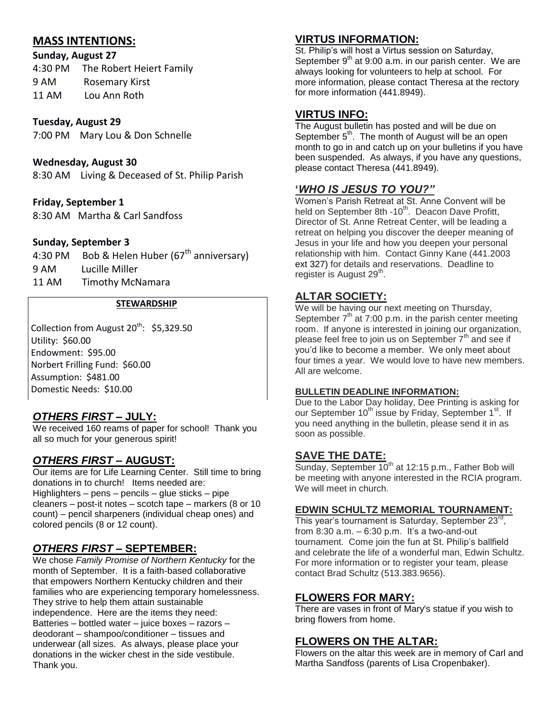# **MASS INTENTIONS:**

## **Sunday, August 27**

| 4:30 PM | The Robert Heiert Family |
|---------|--------------------------|
| 9 AM    | Rosemary Kirst           |
| 11 AM   | Lou Ann Roth             |

# **Tuesday, August 29**

7:00 PM Mary Lou & Don Schnelle

## **Wednesday, August 30**

8:30 AM Living & Deceased of St. Philip Parish

## **Friday, September 1**

8:30 AM Martha & Carl Sandfoss

## **Sunday, September 3**

4:30 PM Bob & Helen Huber (67<sup>th</sup> anniversary) 9 AM Lucille Miller 11 AM Timothy McNamara

#### **STEWARDSHIP**

Collection from August  $20^{th}$ : \$5,329.50 Utility: \$60.00 Endowment: \$95.00 Norbert Frilling Fund: \$60.00 Assumption: \$481.00 Domestic Needs: \$10.00

# *OTHERS FIRST –* **JULY:**

We received 160 reams of paper for school! Thank you all so much for your generous spirit!

# *OTHERS FIRST* **– AUGUST:**

Our items are for Life Learning Center. Still time to bring donations in to church! Items needed are: Highlighters – pens – pencils – glue sticks – pipe cleaners – post-it notes – scotch tape – markers (8 or 10 count) – pencil sharpeners (individual cheap ones) and colored pencils (8 or 12 count).

# *OTHERS FIRST* **– SEPTEMBER:**

We chose *Family Promise of Northern Kentucky* for the month of September. It is a faith-based collaborative that empowers Northern Kentucky children and their families who are experiencing temporary homelessness. They strive to help them attain sustainable independence. Here are the items they need: Batteries – bottled water – juice boxes – razors – deodorant – shampoo/conditioner – tissues and underwear (all sizes. As always, please place your donations in the wicker chest in the side vestibule. Thank you.

# **VIRTUS INFORMATION:**

St. Philip's will host a Virtus session on Saturday, September  $9<sup>th</sup>$  at 9:00 a.m. in our parish center. We are always looking for volunteers to help at school. For more information, please contact Theresa at the rectory for more information (441.8949).

# **VIRTUS INFO:**

The August bulletin has posted and will be due on September  $5<sup>th</sup>$ . The month of August will be an open month to go in and catch up on your bulletins if you have been suspended. As always, if you have any questions, please contact Theresa (441.8949).

# **'***WHO IS JESUS TO YOU?"*

Women's Parish Retreat at St. Anne Convent will be held on September 8th -10<sup>th</sup>. Deacon Dave Profitt, Director of St. Anne Retreat Center, will be leading a retreat on helping you discover the deeper meaning of Jesus in your life and how you deepen your personal relationship with him. Contact Ginny Kane (441.2003 ext 327) for details and reservations. Deadline to register is August 29<sup>th</sup>.

# **ALTAR SOCIETY:**

We will be having our next meeting on Thursday, September  $7<sup>th</sup>$  at 7:00 p.m. in the parish center meeting room. If anyone is interested in joining our organization, please feel free to join us on September  $7<sup>th</sup>$  and see if you'd like to become a member. We only meet about four times a year. We would love to have new members. All are welcome.

#### **BULLETIN DEADLINE INFORMATION:**

Due to the Labor Day holiday, Dee Printing is asking for our September 10<sup>th</sup> issue by Friday, September 1<sup>st</sup>. If you need anything in the bulletin, please send it in as soon as possible.

# **SAVE THE DATE:**

Sunday, September  $10^{th}$  at 12:15 p.m., Father Bob will be meeting with anyone interested in the RCIA program. We will meet in church.

#### **EDWIN SCHULTZ MEMORIAL TOURNAMENT:**

This year's tournament is Saturday, September 23<sup>rd</sup>, from  $8:30$  a.m.  $-6:30$  p.m. It's a two-and-out tournament. Come join the fun at St. Philip's ballfield and celebrate the life of a wonderful man, Edwin Schultz. For more information or to register your team, please contact Brad Schultz (513.383.9656).

# **FLOWERS FOR MARY:**

There are vases in front of Mary's statue if you wish to bring flowers from home.

## **FLOWERS ON THE ALTAR:**

Flowers on the altar this week are in memory of Carl and Martha Sandfoss (parents of Lisa Cropenbaker).